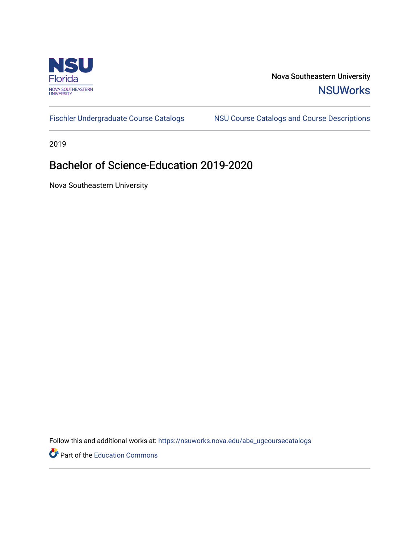

Nova Southeastern University **NSUWorks** 

[Fischler Undergraduate Course Catalogs](https://nsuworks.nova.edu/abe_ugcoursecatalogs) MSU Course Catalogs and Course Descriptions

2019

## Bachelor of Science-Education 2019-2020

Nova Southeastern University

Follow this and additional works at: [https://nsuworks.nova.edu/abe\\_ugcoursecatalogs](https://nsuworks.nova.edu/abe_ugcoursecatalogs?utm_source=nsuworks.nova.edu%2Fabe_ugcoursecatalogs%2F34&utm_medium=PDF&utm_campaign=PDFCoverPages) 

Part of the [Education Commons](http://network.bepress.com/hgg/discipline/784?utm_source=nsuworks.nova.edu%2Fabe_ugcoursecatalogs%2F34&utm_medium=PDF&utm_campaign=PDFCoverPages)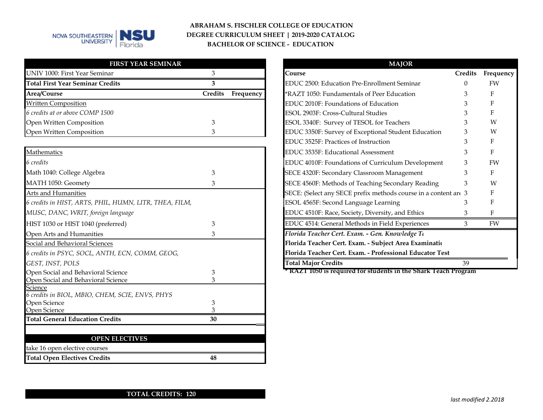

### **ABRAHAM S. FISCHLER COLLEGE OF EDUCATION DEGREE CURRICULUM SHEET | 2019-2020 CATALOG BACHELOR OF SCIENCE - EDUCATION**

| <b>FIRST YEAR SEMINAR</b>               |                             | <b>MAJOR</b>                                        |      |
|-----------------------------------------|-----------------------------|-----------------------------------------------------|------|
| UNIV 1000: First Year Seminar           |                             | Course                                              | Creo |
| <b>Total First Year Seminar Credits</b> |                             | EDUC 2500: Education Pre-Enrollment Seminar         |      |
| Area/Course                             | <b>Credits</b><br>Frequency | *RAZT 1050: Fundamentals of Peer Education          |      |
| <b>Written Composition</b>              |                             | EDUC 2010F: Foundations of Education                | 3    |
| 6 credits at or above COMP 1500         |                             | ESOL 2903F: Cross-Cultural Studies                  |      |
| Open Written Composition                |                             | ESOL 3340F: Survey of TESOL for Teachers            |      |
| Open Written Composition                |                             | EDUC 3350F: Survey of Exceptional Student Education | 3    |

| Mathematics                                                |    | EDUC 3535F: Educational Assessment                              |    |              |
|------------------------------------------------------------|----|-----------------------------------------------------------------|----|--------------|
| 6 credits                                                  |    | EDUC 4010F: Foundations of Curriculum Development               |    | F            |
| Math 1040: College Algebra                                 |    | SECE 4320F: Secondary Classroom Management                      |    | F            |
| MATH 1050: Geomety                                         |    | SECE 4560F: Methods of Teaching Secondary Reading               |    |              |
| Arts and Humanities                                        |    | SECE: (Select any SECE prefix methods course in a content are 3 |    | $\mathbf{F}$ |
| 6 credits in HIST, ARTS, PHIL, HUMN, LITR, THEA, FILM,     |    | ESOL 4565F: Second Language Learning                            |    |              |
| MUSC, DANC, WRIT, foreign language                         |    | EDUC 4510F: Race, Society, Diversity, and Ethics                |    |              |
| HIST 1030 or HIST 1040 (preferred)                         |    | EDUC 4514: General Methods in Field Experiences                 |    |              |
| Open Arts and Humanities                                   |    | Florida Teacher Cert. Exam. - Gen. Knowledge To                 |    |              |
| Social and Behavioral Sciences                             |    | Florida Teacher Cert. Exam. - Subject Area Examinatio           |    |              |
| 6 credits in PSYC, SOCL, ANTH, ECN, COMM, GEOG,            |    | Florida Teacher Cert. Exam. - Professional Educator Test        |    |              |
| GEST, INST, POLS                                           |    | <b>Total Major Credits</b>                                      | 39 |              |
| Open Social and Behavioral Science                         |    | * RAZT 1050 is required for students in the Shark Teach Program |    |              |
| Open Social and Behavioral Science                         |    |                                                                 |    |              |
| Science<br>6 credits in BIOL, MBIO, CHEM, SCIE, ENVS, PHYS |    |                                                                 |    |              |
| Open Science                                               |    |                                                                 |    |              |
| Open Science                                               |    |                                                                 |    |              |
| <b>Total General Education Credits</b>                     | 30 |                                                                 |    |              |
|                                                            |    |                                                                 |    |              |
| <b>OPEN ELECTIVES</b>                                      |    |                                                                 |    |              |
| take 16 open elective courses                              |    |                                                                 |    |              |
| <b>Total Open Electives Credits</b>                        | 48 |                                                                 |    |              |

|           | <b>MAJOR</b>                                                    |                |           |
|-----------|-----------------------------------------------------------------|----------------|-----------|
|           | Course                                                          | <b>Credits</b> | Frequency |
|           | EDUC 2500: Education Pre-Enrollment Seminar                     | 0              | FW        |
| Frequency | *RAZT 1050: Fundamentals of Peer Education                      | 3              | F         |
|           | EDUC 2010F: Foundations of Education                            | 3              | F         |
|           | ESOL 2903F: Cross-Cultural Studies                              |                | F         |
|           | ESOL 3340F: Survey of TESOL for Teachers                        | 3              | W         |
|           | EDUC 3350F: Survey of Exceptional Student Education             | 3              | W         |
|           | <b>EDUC 3525F: Practices of Instruction</b>                     | 3              | F         |
|           | EDUC 3535F: Educational Assessment                              | 3              | F         |
|           | EDUC 4010F: Foundations of Curriculum Development               | 3              | FW        |
|           | SECE 4320F: Secondary Classroom Management                      | 3              | F         |
|           | SECE 4560F: Methods of Teaching Secondary Reading               | 3              | W         |
|           | SECE: (Select any SECE prefix methods course in a content are 3 |                | F         |
|           | ESOL 4565F: Second Language Learning                            | З              | F         |
|           | EDUC 4510F: Race, Society, Diversity, and Ethics                | 3              | F         |
|           | EDUC 4514: General Methods in Field Experiences                 | 3              | FW        |
|           | Florida Teacher Cert. Exam. - Gen. Knowledge Tt                 |                |           |
|           | Florida Teacher Cert. Exam. - Subject Area Examinatio           |                |           |
|           | Florida Teacher Cert. Exam. - Professional Educator Test        |                |           |
|           | <b>Total Major Credits</b>                                      | 39             |           |

#### **TOTAL CREDITS: 120**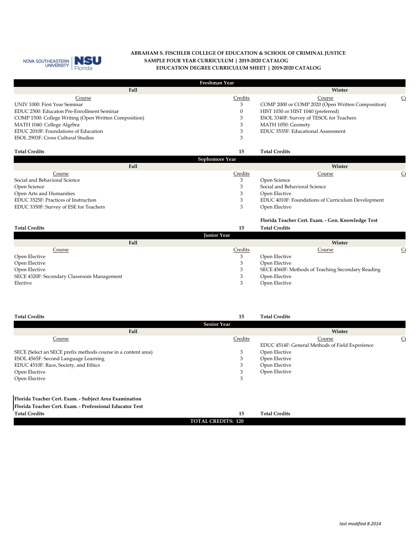

#### **ABRAHAM S. FISCHLER COLLEGE OF EDUCATION & SCHOOL OF CRIMINAL JUSTICE EDUCATION DEGREE CURRICULUM SHEET | 2019-2020 CATALOG SAMPLE FOUR YEAR CURRICULUM | 2019-2020 CATALOG**

| Freshman Year                                         |          |                                                   |                |  |  |  |
|-------------------------------------------------------|----------|---------------------------------------------------|----------------|--|--|--|
| Fall                                                  |          | Winter                                            |                |  |  |  |
| Course                                                | Credits  | Course                                            | C <sub>1</sub> |  |  |  |
| UNIV 1000: First Year Seminar                         | 3        | COMP 2000 or COMP 2020 (Open Written Composition) |                |  |  |  |
| EDUC 2500: Educaton Pre-Enrollment Seminar            | $\theta$ | HIST 1030 or HIST 1040 (preferred)                |                |  |  |  |
| COMP 1500: College Writing (Open Written Composition) |          | ESOL 3340F: Survey of TESOL for Teachers          |                |  |  |  |
| MATH 1040: College Algrbra                            |          | MATH 1050: Geomety                                |                |  |  |  |
| EDUC 2010F: Foundations of Education                  |          | EDUC 3535F: Educational Assessment                |                |  |  |  |
| ESOL 2903F: Cross Cultural Studies                    |          |                                                   |                |  |  |  |
| <b>Total Credits</b>                                  | 15       | <b>Total Credits</b>                              |                |  |  |  |

| Sophomore Year                         |               |                                                   |                |  |  |
|----------------------------------------|---------------|---------------------------------------------------|----------------|--|--|
| Fall                                   |               | Winter                                            |                |  |  |
| Course                                 | Credits       | Course                                            | $\mathbf{C}_1$ |  |  |
| Social and Behavioral Science          | Open Science  |                                                   |                |  |  |
| Open Science                           |               | Social and Behavioral Science                     |                |  |  |
| Open Arts and Humanities               | Open Elective |                                                   |                |  |  |
| EDUC 3525F: Practices of Instruction   |               | EDUC 4010F: Foundations of Curriculum Development |                |  |  |
| EDUC 3350F: Survey of ESE for Teachers | Open Elective |                                                   |                |  |  |
|                                        |               |                                                   |                |  |  |

| <b>Total Credits</b>                       | 15<br><b>Junior Year</b> | Florida Teacher Cert. Exam. - Gen. Knowledge Test<br><b>Total Credits</b> |                |
|--------------------------------------------|--------------------------|---------------------------------------------------------------------------|----------------|
|                                            |                          |                                                                           |                |
| Fall                                       |                          | Winter                                                                    |                |
| Course                                     | Credits                  | Course                                                                    | $\mathsf{C}_1$ |
| Open Elective                              | 3                        | Open Elective                                                             |                |
| Open Elective                              | 3                        | Open Elective                                                             |                |
| Open Elective                              | 3                        | SECE 4560F: Methods of Teaching Secondary Reading                         |                |
| SECE 4320F: Secondary Classroom Management | 3                        | Open Elective                                                             |                |
| Elective                                   | 3                        | Open Elective                                                             |                |

| <b>Total Credits</b>                                          | 15                        | <b>Total Credits</b>                            |                |
|---------------------------------------------------------------|---------------------------|-------------------------------------------------|----------------|
|                                                               | <b>Senior Year</b>        |                                                 |                |
| Fall                                                          |                           | Winter                                          |                |
| Course                                                        | Credits                   | Course                                          | C <sub>1</sub> |
|                                                               |                           | EDUC 4514F: General Methods of Field Experience |                |
| SECE (Select an SECE prefix methods course in a content area) | 3                         | Open Elective                                   |                |
| ESOL 4565F: Second Language Learning                          | 3                         | Open Elective                                   |                |
| EDUC 4510F: Race, Society, and Ethics                         | 3                         | Open Elective                                   |                |
| Open Elective                                                 | 3                         | Open Elective                                   |                |
| Open Elective                                                 | 3                         |                                                 |                |
|                                                               |                           |                                                 |                |
| Florida Teacher Cert. Exam. - Subject Area Examination        |                           |                                                 |                |
| Florida Teacher Cert. Exam. - Professional Educator Test      |                           |                                                 |                |
| <b>Total Credits</b>                                          | 15                        | <b>Total Credits</b>                            |                |
|                                                               | <b>TOTAL CREDITS: 120</b> |                                                 |                |